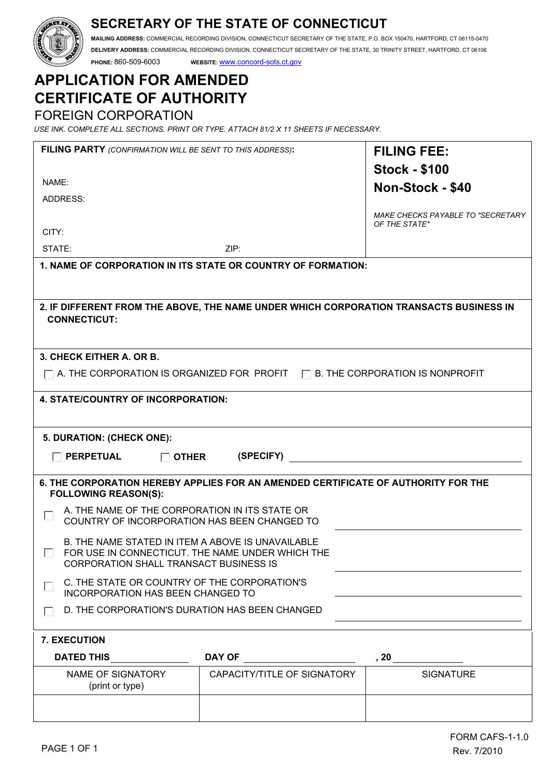## **SECRETARY OF THE STATE OF CONNECTICUT**

**MAILING ADDRESS:** COMMERCIAL RECORDING DIVISION, CONNECTICUT SECRETARY OF THE STATE, P.O. BOX 150470, HARTFORD, CT 06115-0470 **DELIVERY ADDRESS:** COMMERCIAL RECORDING DIVISION, CONNECTICUT SECRETARY OF THE STATE, 30 TRINITY STREET, HARTFORD, CT 06106

**PHONE:** 860-509-6003 **WEBSITE:** www.concord-sots.ct.gov

# **APPLICATION FOR AMENDED CERTIFICATE OF AUTHORITY**

FOREIGN CORPORATION

*USE INK. COMPLETE ALL SECTIONS. PRINT OR TYPE. ATTACH 81/2 X 11 SHEETS IF NECESSARY.*

| FILING PARTY (CONFIRMATION WILL BE SENT TO THIS ADDRESS):                                      |                                                                                                       | <b>FILING FEE:</b>                                        |
|------------------------------------------------------------------------------------------------|-------------------------------------------------------------------------------------------------------|-----------------------------------------------------------|
|                                                                                                |                                                                                                       | <b>Stock - \$100</b>                                      |
| NAME:                                                                                          |                                                                                                       | Non-Stock - \$40                                          |
| ADDRESS:                                                                                       |                                                                                                       |                                                           |
|                                                                                                |                                                                                                       | <b>MAKE CHECKS PAYABLE TO "SECRETARY</b><br>OF THE STATE" |
| CITY:                                                                                          |                                                                                                       |                                                           |
| STATE:                                                                                         | ZIP:                                                                                                  |                                                           |
|                                                                                                | 1. NAME OF CORPORATION IN ITS STATE OR COUNTRY OF FORMATION:                                          |                                                           |
|                                                                                                |                                                                                                       |                                                           |
|                                                                                                | 2. IF DIFFERENT FROM THE ABOVE, THE NAME UNDER WHICH CORPORATION TRANSACTS BUSINESS IN                |                                                           |
| <b>CONNECTICUT:</b>                                                                            |                                                                                                       |                                                           |
|                                                                                                |                                                                                                       |                                                           |
| 3. CHECK EITHER A. OR B.                                                                       |                                                                                                       |                                                           |
|                                                                                                |                                                                                                       |                                                           |
|                                                                                                | $\Box$ A. THE CORPORATION IS ORGANIZED FOR PROFIT $\Box$ B. THE CORPORATION IS NONPROFIT              |                                                           |
| 4. STATE/COUNTRY OF INCORPORATION:                                                             |                                                                                                       |                                                           |
|                                                                                                |                                                                                                       |                                                           |
| 5. DURATION: (CHECK ONE):                                                                      |                                                                                                       |                                                           |
|                                                                                                |                                                                                                       |                                                           |
| <b>PERPETUAL</b><br>$\Box$ other                                                               | (SPECIFY)                                                                                             |                                                           |
|                                                                                                | 6. THE CORPORATION HEREBY APPLIES FOR AN AMENDED CERTIFICATE OF AUTHORITY FOR THE                     |                                                           |
| <b>FOLLOWING REASON(S):</b>                                                                    |                                                                                                       |                                                           |
| A. THE NAME OF THE CORPORATION IN ITS STATE OR<br>$\mathbf{L}$                                 | COUNTRY OF INCORPORATION HAS BEEN CHANGED TO                                                          |                                                           |
|                                                                                                |                                                                                                       |                                                           |
|                                                                                                | B. THE NAME STATED IN ITEM A ABOVE IS UNAVAILABLE<br>FOR USE IN CONNECTICUT. THE NAME UNDER WHICH THE |                                                           |
| <b>CORPORATION SHALL TRANSACT BUSINESS IS</b>                                                  |                                                                                                       |                                                           |
| C. THE STATE OR COUNTRY OF THE CORPORATION'S<br>I.<br><b>INCORPORATION HAS BEEN CHANGED TO</b> |                                                                                                       |                                                           |
|                                                                                                | D. THE CORPORATION'S DURATION HAS BEEN CHANGED                                                        |                                                           |
|                                                                                                |                                                                                                       |                                                           |
| <b>7. EXECUTION</b>                                                                            |                                                                                                       |                                                           |
| DATED THIS _______________                                                                     |                                                                                                       |                                                           |
| NAME OF SIGNATORY<br>(print or type)                                                           | CAPACITY/TITLE OF SIGNATORY                                                                           | <b>SIGNATURE</b>                                          |
|                                                                                                |                                                                                                       |                                                           |
|                                                                                                |                                                                                                       |                                                           |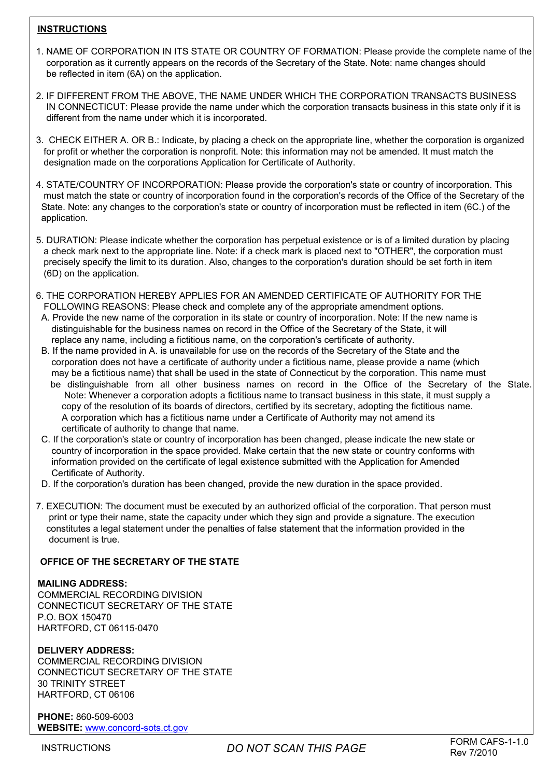#### **INSTRUCTIONS**

- 1. NAME OF CORPORATION IN ITS STATE OR COUNTRY OF FORMATION: Please provide the complete name of the corporation as it currently appears on the records of the Secretary of the State. Note: name changes should be reflected in item (6A) on the application.
- 2. IF DIFFERENT FROM THE ABOVE, THE NAME UNDER WHICH THE CORPORATION TRANSACTS BUSINESS IN CONNECTICUT: Please provide the name under which the corporation transacts business in this state only if it is different from the name under which it is incorporated.
- 3. CHECK EITHER A. OR B.: Indicate, by placing a check on the appropriate line, whether the corporation is organized for profit or whether the corporation is nonprofit. Note: this information may not be amended. It must match the designation made on the corporations Application for Certificate of Authority.
- 4. STATE/COUNTRY OF INCORPORATION: Please provide the corporation's state or country of incorporation. This must match the state or country of incorporation found in the corporation's records of the Office of the Secretary of the State. Note: any changes to the corporation's state or country of incorporation must be reflected in item (6C.) of the application.
- 5. DURATION: Please indicate whether the corporation has perpetual existence or is of a limited duration by placing a check mark next to the appropriate line. Note: if a check mark is placed next to "OTHER", the corporation must precisely specify the limit to its duration. Also, changes to the corporation's duration should be set forth in item (6D) on the application.
- 6. THE CORPORATION HEREBY APPLIES FOR AN AMENDED CERTIFICATE OF AUTHORITY FOR THE FOLLOWING REASONS: Please check and complete any of the appropriate amendment options.
- A. Provide the new name of the corporation in its state or country of incorporation. Note: If the new name is distinguishable for the business names on record in the Office of the Secretary of the State, it will replace any name, including a fictitious name, on the corporation's certificate of authority.
- B. If the name provided in A. is unavailable for use on the records of the Secretary of the State and the corporation does not have a certificate of authority under a fictitious name, please provide a name (which may be a fictitious name) that shall be used in the state of Connecticut by the corporation. This name must be distinguishable from all other business names on record in the Office of the Secretary of the State. Note: Whenever a corporation adopts a fictitious name to transact business in this state, it must supply a copy of the resolution of its boards of directors, certified by its secretary, adopting the fictitious name. A corporation which has a fictitious name under a Certificate of Authority may not amend its certificate of authority to change that name.
- C. If the corporation's state or country of incorporation has been changed, please indicate the new state or country of incorporation in the space provided. Make certain that the new state or country conforms with information provided on the certificate of legal existence submitted with the Application for Amended Certificate of Authority.
- D. If the corporation's duration has been changed, provide the new duration in the space provided.
- 7. EXECUTION: The document must be executed by an authorized official of the corporation. That person must print or type their name, state the capacity under which they sign and provide a signature. The execution constitutes a legal statement under the penalties of false statement that the information provided in the document is true.

#### **OFFICE OF THE SECRETARY OF THE STATE**

#### **MAILING ADDRESS:**

COMMERCIAL RECORDING DIVISION CONNECTICUT SECRETARY OF THE STATE P.O. BOX 150470 HARTFORD, CT 06115-0470

#### **DELIVERY ADDRESS:**

COMMERCIAL RECORDING DIVISION CONNECTICUT SECRETARY OF THE STATE 30 TRINITY STREET HARTFORD, CT 06106

**PHONE:** 860-509-6003 **WEBSITE:** www.concord-sots.ct.gov